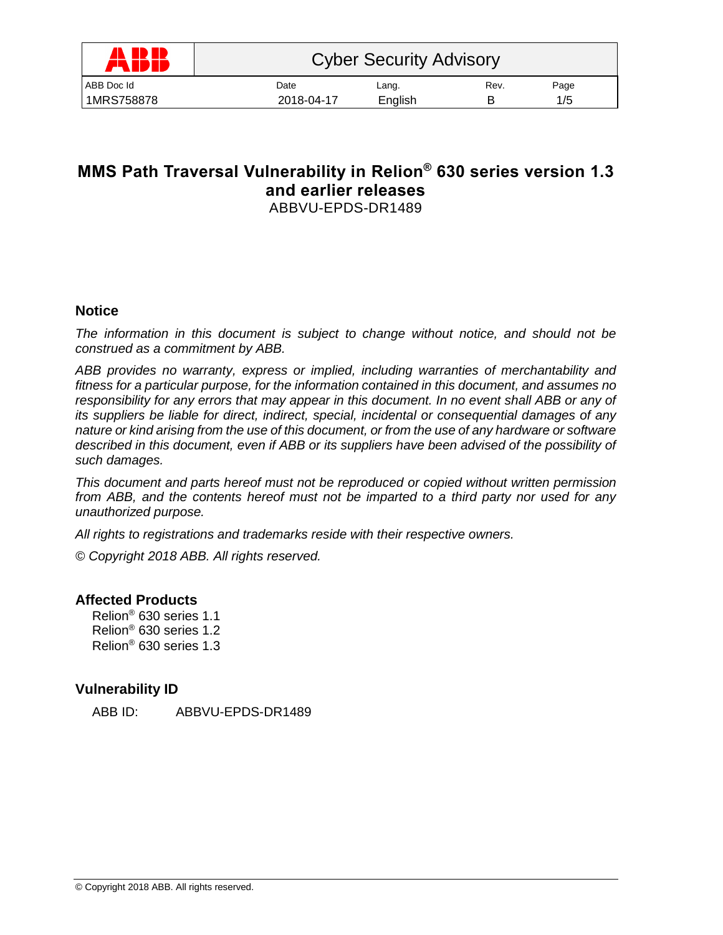| A ID ID<br>77 IP II | <b>Cyber Security Advisory</b> |         |      |      |  |
|---------------------|--------------------------------|---------|------|------|--|
| ABB Doc Id          | Date                           | Lang.   | Rev. | Page |  |
| 1MRS758878          | 2018-04-17                     | English |      | 1/5  |  |

# **MMS Path Traversal Vulnerability in Relion® 630 series version 1.3 and earlier releases** ABBVU-EPDS-DR1489

## **Notice**

*The information in this document is subject to change without notice, and should not be construed as a commitment by ABB.* 

*ABB provides no warranty, express or implied, including warranties of merchantability and fitness for a particular purpose, for the information contained in this document, and assumes no responsibility for any errors that may appear in this document. In no event shall ABB or any of its suppliers be liable for direct, indirect, special, incidental or consequential damages of any nature or kind arising from the use of this document, or from the use of any hardware or software described in this document, even if ABB or its suppliers have been advised of the possibility of such damages.*

*This document and parts hereof must not be reproduced or copied without written permission from ABB, and the contents hereof must not be imparted to a third party nor used for any unauthorized purpose.*

*All rights to registrations and trademarks reside with their respective owners.*

*© Copyright 2018 ABB. All rights reserved.*

## **Affected Products**

Relion® 630 series 1.1 Relion® 630 series 1.2 Relion® 630 series 1.3

## **Vulnerability ID**

ABB ID: ABBVU-EPDS-DR1489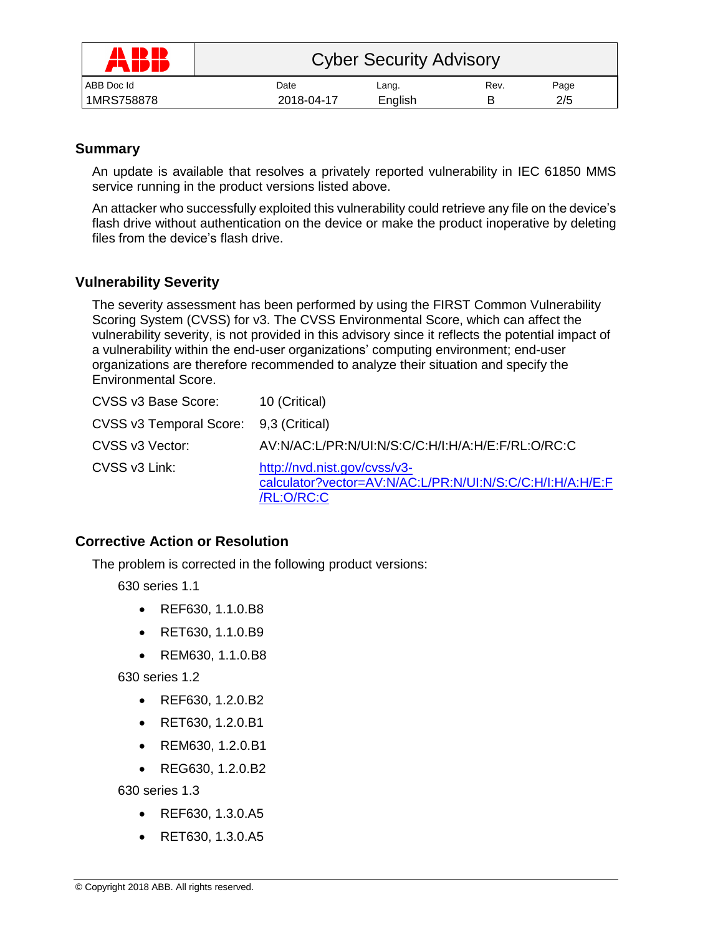| AND ID<br>AN | <b>Cyber Security Advisory</b> |         |      |      |  |
|--------------|--------------------------------|---------|------|------|--|
| ABB Doc Id   | Date                           | Lang.   | Rev. | Page |  |
| 1MRS758878   | 2018-04-17                     | English |      | 2/5  |  |

## **Summary**

An update is available that resolves a privately reported vulnerability in IEC 61850 MMS service running in the product versions listed above.

An attacker who successfully exploited this vulnerability could retrieve any file on the device's flash drive without authentication on the device or make the product inoperative by deleting files from the device's flash drive.

# **Vulnerability Severity**

The severity assessment has been performed by using the FIRST Common Vulnerability Scoring System (CVSS) for v3. The CVSS Environmental Score, which can affect the vulnerability severity, is not provided in this advisory since it reflects the potential impact of a vulnerability within the end-user organizations' computing environment; end-user organizations are therefore recommended to analyze their situation and specify the Environmental Score.

| CVSS v3 Base Score:                    | 10 (Critical)                                                                                           |
|----------------------------------------|---------------------------------------------------------------------------------------------------------|
| CVSS v3 Temporal Score: 9,3 (Critical) |                                                                                                         |
| CVSS v3 Vector:                        | AV:N/AC:L/PR:N/UI:N/S:C/C:H/I:H/A:H/E:F/RL:O/RC:C                                                       |
| CVSS v3 Link:                          | http://nvd.nist.gov/cvss/v3-<br>calculator?vector=AV:N/AC:L/PR:N/UI:N/S:C/C:H/I:H/A:H/E:F<br>/RL:O/RC:C |

## **Corrective Action or Resolution**

The problem is corrected in the following product versions:

630 series 1.1

- REF630, 1.1.0.B8
- RET630, 1.1.0.B9
- REM630, 1.1.0.B8

630 series 1.2

- REF630, 1.2.0.B2
- RET630, 1.2.0.B1
- REM630, 1.2.0.B1
- REG630, 1.2.0.B2

630 series 1.3

- REF630, 1.3.0.A5
- RET630, 1.3.0.A5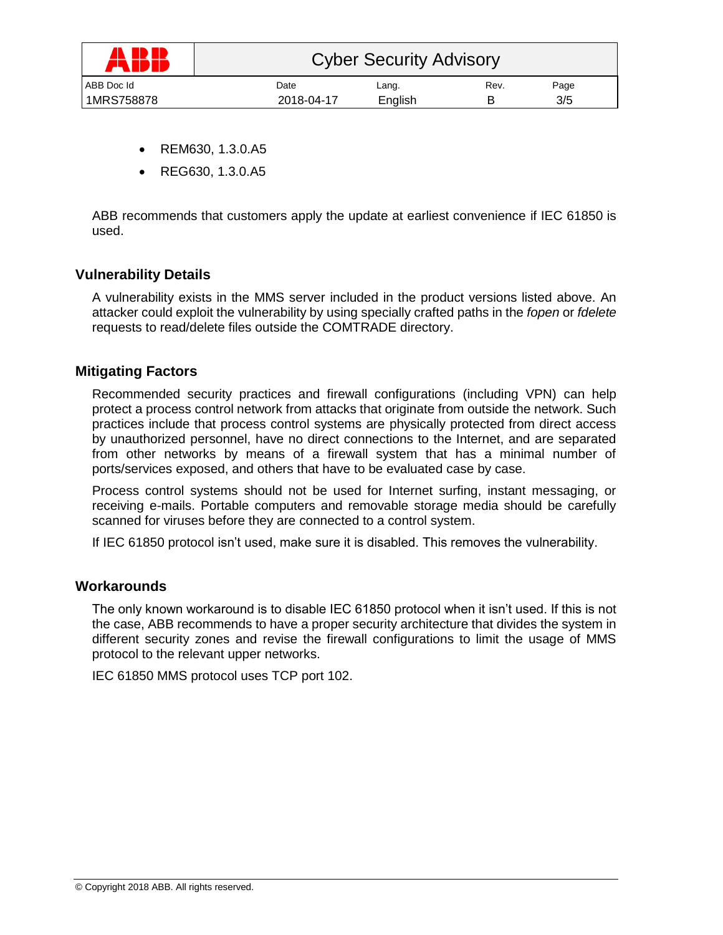| A ID ID<br>77 IP II | <b>Cyber Security Advisory</b> |         |      |      |  |
|---------------------|--------------------------------|---------|------|------|--|
| ABB Doc Id          | Date                           | Lang.   | Rev. | Page |  |
| 1MRS758878          | 2018-04-17                     | English |      | 3/5  |  |

- REM630, 1.3.0.A5
- REG630, 1.3.0.A5

ABB recommends that customers apply the update at earliest convenience if IEC 61850 is used.

### **Vulnerability Details**

A vulnerability exists in the MMS server included in the product versions listed above. An attacker could exploit the vulnerability by using specially crafted paths in the *fopen* or *fdelete* requests to read/delete files outside the COMTRADE directory.

### **Mitigating Factors**

Recommended security practices and firewall configurations (including VPN) can help protect a process control network from attacks that originate from outside the network. Such practices include that process control systems are physically protected from direct access by unauthorized personnel, have no direct connections to the Internet, and are separated from other networks by means of a firewall system that has a minimal number of ports/services exposed, and others that have to be evaluated case by case.

Process control systems should not be used for Internet surfing, instant messaging, or receiving e-mails. Portable computers and removable storage media should be carefully scanned for viruses before they are connected to a control system.

If IEC 61850 protocol isn't used, make sure it is disabled. This removes the vulnerability.

### **Workarounds**

The only known workaround is to disable IEC 61850 protocol when it isn't used. If this is not the case, ABB recommends to have a proper security architecture that divides the system in different security zones and revise the firewall configurations to limit the usage of MMS protocol to the relevant upper networks.

IEC 61850 MMS protocol uses TCP port 102.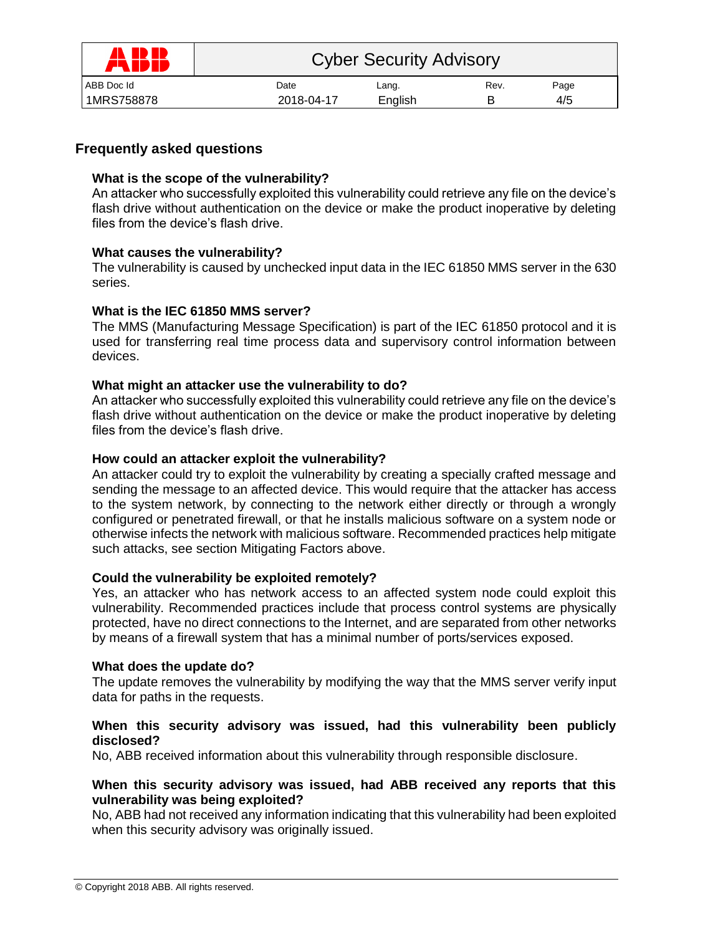| 1 ID IB<br><b>AND</b> | <b>Cyber Security Advisory</b> |         |      |      |  |
|-----------------------|--------------------------------|---------|------|------|--|
| ABB Doc Id            | Date                           | Lang.   | Rev. | Page |  |
| 1MRS758878            | 2018-04-17                     | English |      | 4/5  |  |

## **Frequently asked questions**

#### **What is the scope of the vulnerability?**

An attacker who successfully exploited this vulnerability could retrieve any file on the device's flash drive without authentication on the device or make the product inoperative by deleting files from the device's flash drive.

#### **What causes the vulnerability?**

The vulnerability is caused by unchecked input data in the IEC 61850 MMS server in the 630 series.

### **What is the IEC 61850 MMS server?**

The MMS (Manufacturing Message Specification) is part of the IEC 61850 protocol and it is used for transferring real time process data and supervisory control information between devices.

#### **What might an attacker use the vulnerability to do?**

An attacker who successfully exploited this vulnerability could retrieve any file on the device's flash drive without authentication on the device or make the product inoperative by deleting files from the device's flash drive.

#### **How could an attacker exploit the vulnerability?**

An attacker could try to exploit the vulnerability by creating a specially crafted message and sending the message to an affected device. This would require that the attacker has access to the system network, by connecting to the network either directly or through a wrongly configured or penetrated firewall, or that he installs malicious software on a system node or otherwise infects the network with malicious software. Recommended practices help mitigate such attacks, see section Mitigating Factors above.

#### **Could the vulnerability be exploited remotely?**

Yes, an attacker who has network access to an affected system node could exploit this vulnerability. Recommended practices include that process control systems are physically protected, have no direct connections to the Internet, and are separated from other networks by means of a firewall system that has a minimal number of ports/services exposed.

#### **What does the update do?**

The update removes the vulnerability by modifying the way that the MMS server verify input data for paths in the requests.

#### **When this security advisory was issued, had this vulnerability been publicly disclosed?**

No, ABB received information about this vulnerability through responsible disclosure.

#### **When this security advisory was issued, had ABB received any reports that this vulnerability was being exploited?**

No, ABB had not received any information indicating that this vulnerability had been exploited when this security advisory was originally issued.